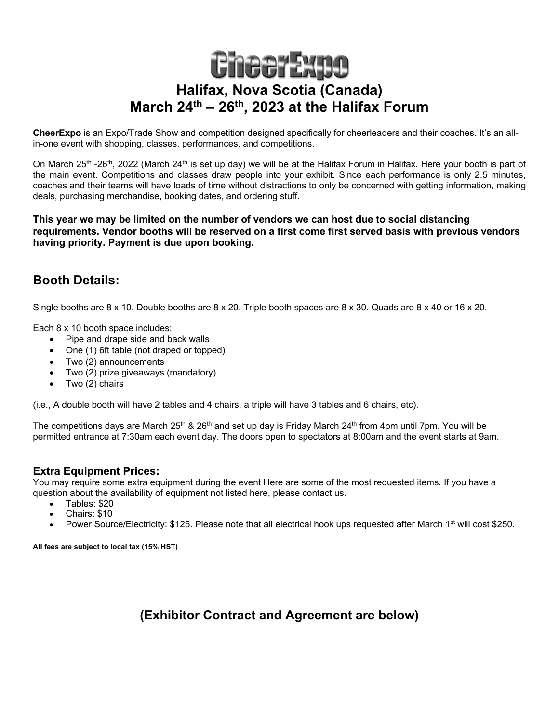# **CheerExpo Halifax, Nova Scotia (Canada) March 24th – 26th, 2023 at the Halifax Forum**

**CheerExpo** is an Expo/Trade Show and competition designed specifically for cheerleaders and their coaches. It's an allin-one event with shopping, classes, performances, and competitions.

On March  $25<sup>th</sup>$  -26<sup>th</sup>, 2022 (March  $24<sup>th</sup>$  is set up day) we will be at the Halifax Forum in Halifax. Here your booth is part of the main event. Competitions and classes draw people into your exhibit. Since each performance is only 2.5 minutes, coaches and their teams will have loads of time without distractions to only be concerned with getting information, making deals, purchasing merchandise, booking dates, and ordering stuff.

**This year we may be limited on the number of vendors we can host due to social distancing requirements. Vendor booths will be reserved on a first come first served basis with previous vendors having priority. Payment is due upon booking.**

## **Booth Details:**

Single booths are 8 x 10. Double booths are 8 x 20. Triple booth spaces are 8 x 30. Quads are 8 x 40 or 16 x 20.

Each 8 x 10 booth space includes:

- Pipe and drape side and back walls
- One (1) 6ft table (not draped or topped)
- Two (2) announcements
- Two (2) prize giveaways (mandatory)
- Two (2) chairs

(i.e., A double booth will have 2 tables and 4 chairs, a triple will have 3 tables and 6 chairs, etc).

The competitions days are March 25<sup>th</sup> & 26<sup>th</sup> and set up day is Friday March 24<sup>th</sup> from 4pm until 7pm. You will be permitted entrance at 7:30am each event day. The doors open to spectators at 8:00am and the event starts at 9am.

## **Extra Equipment Prices:**

You may require some extra equipment during the event Here are some of the most requested items. If you have a question about the availability of equipment not listed here, please contact us.

- Tables: \$20
- Chairs: \$10
- Power Source/Electricity: \$125. Please note that all electrical hook ups requested after March 1<sup>st</sup> will cost \$250.

**All fees are subject to local tax (15% HST)**

**(Exhibitor Contract and Agreement are below)**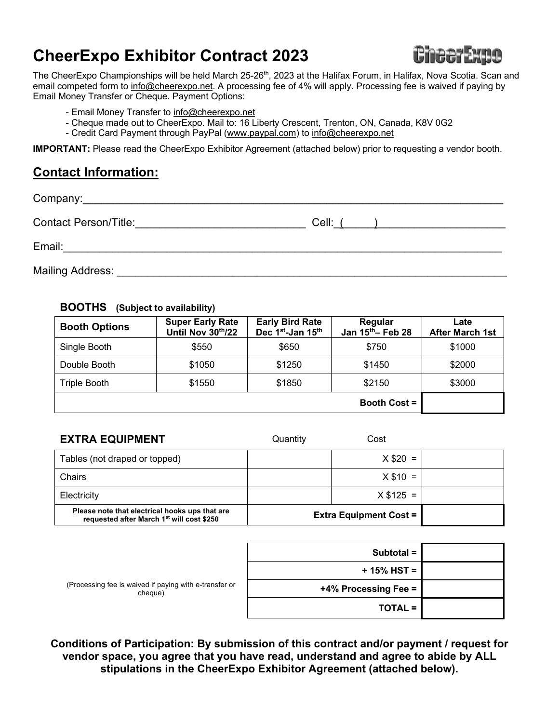# **CheerExpo Exhibitor Contract 2023**



The CheerExpo Championships will be held March 25-26<sup>th</sup>, 2023 at the Halifax Forum, in Halifax, Nova Scotia. Scan and email competed form to info@cheerexpo.net. A processing fee of 4% will apply. Processing fee is waived if paying by Email Money Transfer or Cheque. Payment Options:

- Email Money Transfer to info@cheerexpo.net
- Cheque made out to CheerExpo. Mail to: 16 Liberty Crescent, Trenton, ON, Canada, K8V 0G2
- Credit Card Payment through PayPal (www.paypal.com) to info@cheerexpo.net

**IMPORTANT:** Please read the CheerExpo Exhibitor Agreement (attached below) prior to requesting a vendor booth.

## **Contact Information:**

| <b>Contact Person/Title:</b> | Cell: ( |
|------------------------------|---------|
| Email:                       |         |
| Mailing Address:             |         |

### **BOOTHS (Subject to availability)**

| <b>Booth Options</b> | <b>Super Early Rate</b><br>Until Nov 30th/22 | <b>Early Bird Rate</b><br>Dec 1 <sup>st</sup> -Jan 15 <sup>th</sup> | Regular<br>Jan 15th - Feb 28 | Late<br><b>After March 1st</b> |  |
|----------------------|----------------------------------------------|---------------------------------------------------------------------|------------------------------|--------------------------------|--|
| Single Booth         | \$550                                        | \$650                                                               | \$750                        | \$1000                         |  |
| Double Booth         | \$1050                                       | \$1250                                                              | \$1450                       | \$2000                         |  |
| Triple Booth         | \$1550                                       | \$1850                                                              | \$2150                       | \$3000                         |  |
| <b>Booth Cost =</b>  |                                              |                                                                     |                              |                                |  |

| <b>EXTRA EQUIPMENT</b>                                                                                  | Quantity | Cost                          |  |
|---------------------------------------------------------------------------------------------------------|----------|-------------------------------|--|
| Tables (not draped or topped)                                                                           |          | $X $20 =$                     |  |
| Chairs                                                                                                  |          | $X $10 =$                     |  |
| Electricity                                                                                             |          | $X $125 =$                    |  |
| Please note that electrical hooks ups that are<br>requested after March 1 <sup>st</sup> will cost \$250 |          | <b>Extra Equipment Cost =</b> |  |

|                                                                   | Subtotal =           |  |
|-------------------------------------------------------------------|----------------------|--|
| (Processing fee is waived if paying with e-transfer or<br>cheque) | + 15% HST =          |  |
|                                                                   | +4% Processing Fee = |  |
|                                                                   | <b>TOTAL =</b>       |  |

**Conditions of Participation: By submission of this contract and/or payment / request for vendor space, you agree that you have read, understand and agree to abide by ALL stipulations in the CheerExpo Exhibitor Agreement (attached below).**